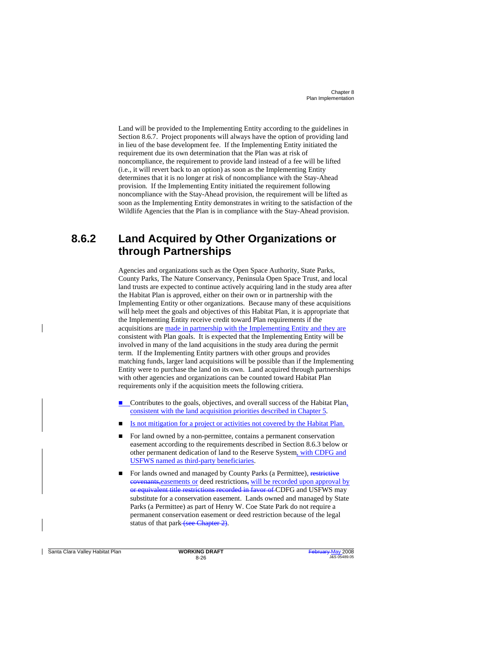> Land will be provided to the Implementing Entity according to the guidelines in Section 8.6.7. Project proponents will always have the option of providing land in lieu of the base development fee. If the Implementing Entity initiated the requirement due its own determination that the Plan was at risk of noncompliance, the requirement to provide land instead of a fee will be lifted (i.e., it will revert back to an option) as soon as the Implementing Entity determines that it is no longer at risk of noncompliance with the Stay-Ahead provision. If the Implementing Entity initiated the requirement following noncompliance with the Stay-Ahead provision, the requirement will be lifted as soon as the Implementing Entity demonstrates in writing to the satisfaction of the Wildlife Agencies that the Plan is in compliance with the Stay-Ahead provision.

### **8.6.2 Land Acquired by Other Organizations or through Partnerships**

Agencies and organizations such as the Open Space Authority, State Parks, County Parks, The Nature Conservancy, Peninsula Open Space Trust, and local land trusts are expected to continue actively acquiring land in the study area after the Habitat Plan is approved, either on their own or in partnership with the Implementing Entity or other organizations. Because many of these acquisitions will help meet the goals and objectives of this Habitat Plan, it is appropriate that the Implementing Entity receive credit toward Plan requirements if the acquisitions are made in partnership with the Implementing Entity and they are consistent with Plan goals. It is expected that the Implementing Entity will be involved in many of the land acquisitions in the study area during the permit term. If the Implementing Entity partners with other groups and provides matching funds, larger land acquisitions will be possible than if the Implementing Entity were to purchase the land on its own. Land acquired through partnerships with other agencies and organizations can be counted toward Habitat Plan requirements only if the acquisition meets the following critiera.

- Contributes to the goals, objectives, and overall success of the Habitat Plan, consistent with the land acquisition priorities described in Chapter 5.
- Is not mitigation for a project or activities not covered by the Habitat Plan.
- For land owned by a non-permittee, contains a permanent conservation easement according to the requirements described in Section 8.6.3 below or other permanent dedication of land to the Reserve System, with CDFG and USFWS named as third-party beneficiaries.
- For lands owned and managed by County Parks (a Permittee), restrictive covenants, easements or deed restrictions, will be recorded upon approval by or equivalent title restrictions recorded in favor of CDFG and USFWS may substitute for a conservation easement. Lands owned and managed by State Parks (a Permittee) as part of Henry W. Coe State Park do not require a permanent conservation easement or deed restriction because of the legal status of that park (see Chapter 2).

**Santa Clara Valley Habitat Plan <b>WORKING DRAFT**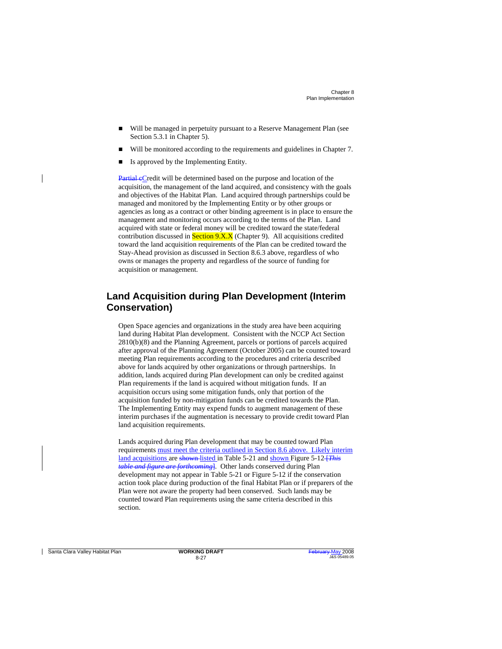- Will be managed in perpetuity pursuant to a Reserve Management Plan (see Section 5.3.1 in Chapter 5).
- Will be monitored according to the requirements and guidelines in Chapter 7.
- Is approved by the Implementing Entity.

Partial eCredit will be determined based on the purpose and location of the acquisition, the management of the land acquired, and consistency with the goals and objectives of the Habitat Plan. Land acquired through partnerships could be managed and monitored by the Implementing Entity or by other groups or agencies as long as a contract or other binding agreement is in place to ensure the management and monitoring occurs according to the terms of the Plan. Land acquired with state or federal money will be credited toward the state/federal contribution discussed in **Section 9.X.X** (Chapter 9). All acquisitions credited toward the land acquisition requirements of the Plan can be credited toward the Stay-Ahead provision as discussed in Section 8.6.3 above, regardless of who owns or manages the property and regardless of the source of funding for acquisition or management.

#### **Land Acquisition during Plan Development (Interim Conservation)**

Open Space agencies and organizations in the study area have been acquiring land during Habitat Plan development. Consistent with the NCCP Act Section 2810(b)(8) and the Planning Agreement, parcels or portions of parcels acquired after approval of the Planning Agreement (October 2005) can be counted toward meeting Plan requirements according to the procedures and criteria described above for lands acquired by other organizations or through partnerships. In addition, lands acquired during Plan development can only be credited against Plan requirements if the land is acquired without mitigation funds. If an acquisition occurs using some mitigation funds, only that portion of the acquisition funded by non-mitigation funds can be credited towards the Plan. The Implementing Entity may expend funds to augment management of these interim purchases if the augmentation is necessary to provide credit toward Plan land acquisition requirements.

Lands acquired during Plan development that may be counted toward Plan requirements must meet the criteria outlined in Section 8.6 above. Likely interim land acquisitions are shown-listed in Table 5-21 and shown Figure 5-12-*[This table and figure are forthcoming*]. Other lands conserved during Plan development may not appear in Table 5-21 or Figure 5-12 if the conservation action took place during production of the final Habitat Plan or if preparers of the Plan were not aware the property had been conserved. Such lands may be counted toward Plan requirements using the same criteria described in this section.

**Santa Clara Valley Habitat Plan <b>WORKING DRAFT**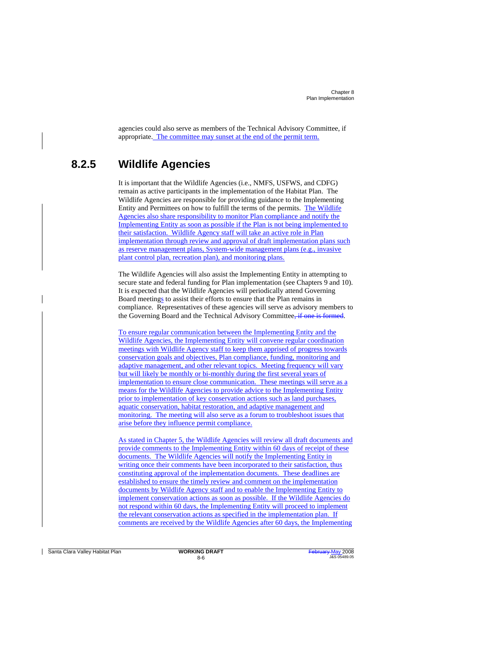> agencies could also serve as members of the Technical Advisory Committee, if appropriate. The committee may sunset at the end of the permit term.

### **8.2.5 Wildlife Agencies**

It is important that the Wildlife Agencies (i.e., NMFS, USFWS, and CDFG) remain as active participants in the implementation of the Habitat Plan. The Wildlife Agencies are responsible for providing guidance to the Implementing Entity and Permittees on how to fulfill the terms of the permits. The Wildlife Agencies also share responsibility to monitor Plan compliance and notify the Implementing Entity as soon as possible if the Plan is not being implemented to their satisfaction. Wildlife Agency staff will take an active role in Plan implementation through review and approval of draft implementation plans such as reserve management plans, System-wide management plans (e.g., invasive plant control plan, recreation plan), and monitoring plans.

The Wildlife Agencies will also assist the Implementing Entity in attempting to secure state and federal funding for Plan implementation (see Chapters 9 and 10). It is expected that the Wildlife Agencies will periodically attend Governing Board meetings to assist their efforts to ensure that the Plan remains in compliance. Representatives of these agencies will serve as advisory members to the Governing Board and the Technical Advisory Committee, if one is formed.

To ensure regular communication between the Implementing Entity and the Wildlife Agencies, the Implementing Entity will convene regular coordination meetings with Wildlife Agency staff to keep them apprised of progress towards conservation goals and objectives, Plan compliance, funding, monitoring and adaptive management, and other relevant topics. Meeting frequency will vary but will likely be monthly or bi-monthly during the first several years of implementation to ensure close communication. These meetings will serve as a means for the Wildlife Agencies to provide advice to the Implementing Entity prior to implementation of key conservation actions such as land purchases, aquatic conservation, habitat restoration, and adaptive management and monitoring. The meeting will also serve as a forum to troubleshoot issues that arise before they influence permit compliance.

As stated in Chapter 5, the Wildlife Agencies will review all draft documents and provide comments to the Implementing Entity within 60 days of receipt of these documents. The Wildlife Agencies will notify the Implementing Entity in writing once their comments have been incorporated to their satisfaction, thus constituting approval of the implementation documents. These deadlines are established to ensure the timely review and comment on the implementation documents by Wildlife Agency staff and to enable the Implementing Entity to implement conservation actions as soon as possible. If the Wildlife Agencies do not respond within 60 days, the Implementing Entity will proceed to implement the relevant conservation actions as specified in the implementation plan. If comments are received by the Wildlife Agencies after 60 days, the Implementing

**Santa Clara Valley Habitat Plan <b>WORKING DRAFT** 

8-6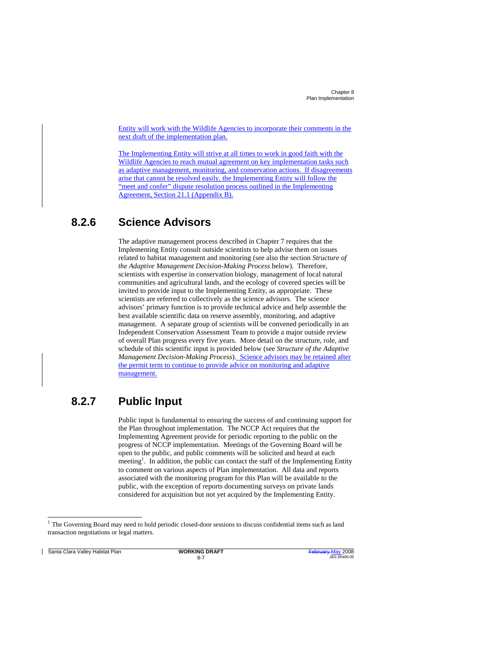> Entity will work with the Wildlife Agencies to incorporate their comments in the next draft of the implementation plan.

> The Implementing Entity will strive at all times to work in good faith with the Wildlife Agencies to reach mutual agreement on key implementation tasks such as adaptive management, monitoring, and conservation actions. If disagreements arise that cannot be resolved easily, the Implementing Entity will follow the "meet and confer" dispute resolution process outlined in the Implementing Agreement, Section 21.1 (Appendix B).

### **8.2.6 Science Advisors**

The adaptive management process described in Chapter 7 requires that the Implementing Entity consult outside scientists to help advise them on issues related to habitat management and monitoring (see also the section *Structure of the Adaptive Management Decision-Making Process* below). Therefore, scientists with expertise in conservation biology, management of local natural communities and agricultural lands, and the ecology of covered species will be invited to provide input to the Implementing Entity, as appropriate. These scientists are referred to collectively as the science advisors. The science advisors' primary function is to provide technical advice and help assemble the best available scientific data on reserve assembly, monitoring, and adaptive management. A separate group of scientists will be convened periodically in an Independent Conservation Assessment Team to provide a major outside review of overall Plan progress every five years. More detail on the structure, role, and schedule of this scientific input is provided below (see *Structure of the Adaptive Management Decision-Making Process*). Science advisors may be retained after the permit term to continue to provide advice on monitoring and adaptive management.

#### **8.2.7 Public Input**

Public input is fundamental to ensuring the success of and continuing support for the Plan throughout implementation. The NCCP Act requires that the Implementing Agreement provide for periodic reporting to the public on the progress of NCCP implementation. Meetings of the Governing Board will be open to the public, and public comments will be solicited and heard at each meeting<sup>1</sup>. In addition, the public can contact the staff of the Implementing Entity to comment on various aspects of Plan implementation. All data and reports associated with the monitoring program for this Plan will be available to the public, with the exception of reports documenting surveys on private lands considered for acquisition but not yet acquired by the Implementing Entity.

**Santa Clara Valley Habitat Plan WORKING DRAFT** 

j

 $\mathbf{I}$ 

 $1$  The Governing Board may need to hold periodic closed-door sessions to discuss confidential items such as land transaction negotiations or legal matters.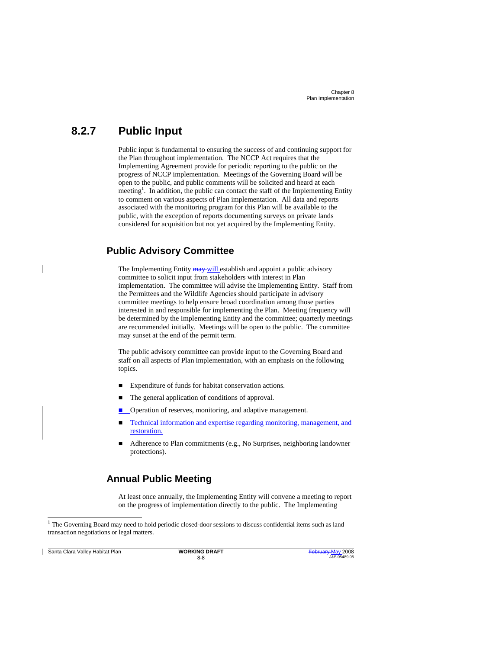#### **8.2.7 Public Input**

Public input is fundamental to ensuring the success of and continuing support for the Plan throughout implementation. The NCCP Act requires that the Implementing Agreement provide for periodic reporting to the public on the progress of NCCP implementation. Meetings of the Governing Board will be open to the public, and public comments will be solicited and heard at each meeting<sup>1</sup>. In addition, the public can contact the staff of the Implementing Entity to comment on various aspects of Plan implementation. All data and reports associated with the monitoring program for this Plan will be available to the public, with the exception of reports documenting surveys on private lands considered for acquisition but not yet acquired by the Implementing Entity.

#### **Public Advisory Committee**

The Implementing Entity **may** will establish and appoint a public advisory committee to solicit input from stakeholders with interest in Plan implementation. The committee will advise the Implementing Entity. Staff from the Permittees and the Wildlife Agencies should participate in advisory committee meetings to help ensure broad coordination among those parties interested in and responsible for implementing the Plan. Meeting frequency will be determined by the Implementing Entity and the committee; quarterly meetings are recommended initially. Meetings will be open to the public. The committee may sunset at the end of the permit term.

The public advisory committee can provide input to the Governing Board and staff on all aspects of Plan implementation, with an emphasis on the following topics.

- Expenditure of funds for habitat conservation actions.
- The general application of conditions of approval.
- Operation of reserves, monitoring, and adaptive management.
- Technical information and expertise regarding monitoring, management, and restoration.
- Adherence to Plan commitments (e.g., No Surprises, neighboring landowner protections).

#### **Annual Public Meeting**

At least once annually, the Implementing Entity will convene a meeting to report on the progress of implementation directly to the public. The Implementing

**Santa Clara Valley Habitat Plan WORKING DRAFT** 

j

 $\mathbf{I}$ 

<sup>&</sup>lt;sup>1</sup> The Governing Board may need to hold periodic closed-door sessions to discuss confidential items such as land transaction negotiations or legal matters.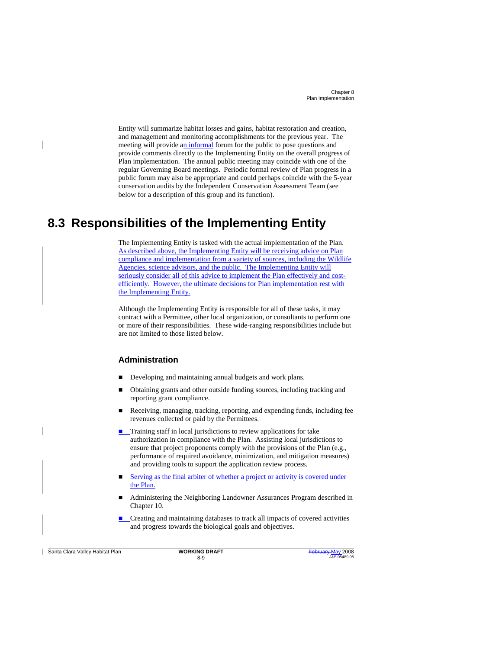> Entity will summarize habitat losses and gains, habitat restoration and creation, and management and monitoring accomplishments for the previous year. The meeting will provide an informal forum for the public to pose questions and provide comments directly to the Implementing Entity on the overall progress of Plan implementation. The annual public meeting may coincide with one of the regular Governing Board meetings. Periodic formal review of Plan progress in a public forum may also be appropriate and could perhaps coincide with the 5-year conservation audits by the Independent Conservation Assessment Team (see below for a description of this group and its function).

### **8.3 Responsibilities of the Implementing Entity**

The Implementing Entity is tasked with the actual implementation of the Plan. As described above, the Implementing Entity will be receiving advice on Plan compliance and implementation from a variety of sources, including the Wildlife Agencies, science advisors, and the public. The Implementing Entity will seriously consider all of this advice to implement the Plan effectively and costefficiently. However, the ultimate decisions for Plan implementation rest with the Implementing Entity.

Although the Implementing Entity is responsible for all of these tasks, it may contract with a Permittee, other local organization, or consultants to perform one or more of their responsibilities. These wide-ranging responsibilities include but are not limited to those listed below.

#### **Administration**

- Developing and maintaining annual budgets and work plans.
- Obtaining grants and other outside funding sources, including tracking and reporting grant compliance.
- Receiving, managing, tracking, reporting, and expending funds, including fee revenues collected or paid by the Permittees.
- **Training staff in local jurisdictions to review applications for take** authorization in compliance with the Plan. Assisting local jurisdictions to ensure that project proponents comply with the provisions of the Plan (e.g., performance of required avoidance, minimization, and mitigation measures) and providing tools to support the application review process.
- Serving as the final arbiter of whether a project or activity is covered under the Plan.
- Administering the Neighboring Landowner Assurances Program described in Chapter 10.
- **E** Creating and maintaining databases to track all impacts of covered activities and progress towards the biological goals and objectives.

**Santa Clara Valley Habitat Plan <b>WORKING DRAFT** 

8-9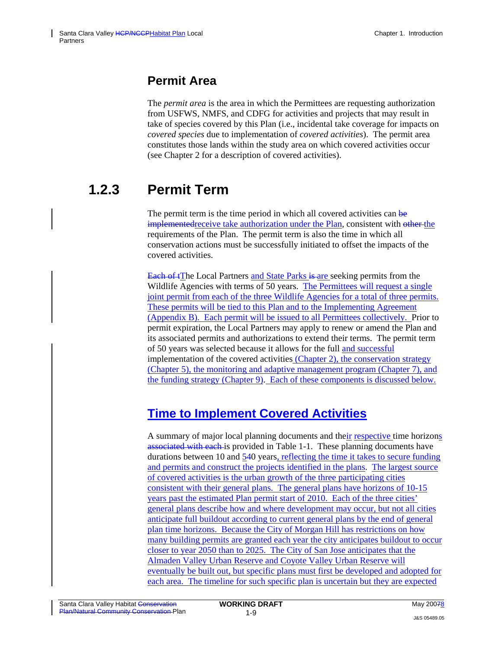## **Permit Area**

The *permit area* is the area in which the Permittees are requesting authorization from USFWS, NMFS, and CDFG for activities and projects that may result in take of species covered by this Plan (i.e., incidental take coverage for impacts on *covered species* due to implementation of *covered activities*). The permit area constitutes those lands within the study area on which covered activities occur (see Chapter 2 for a description of covered activities).

# **1.2.3 Permit Term**

The permit term is the time period in which all covered activities can be implemented receive take authorization under the Plan, consistent with other the requirements of the Plan. The permit term is also the time in which all conservation actions must be successfully initiated to offset the impacts of the covered activities.

Each of tThe Local Partners and State Parks is are seeking permits from the Wildlife Agencies with terms of 50 years. The Permittees will request a single joint permit from each of the three Wildlife Agencies for a total of three permits. These permits will be tied to this Plan and to the Implementing Agreement (Appendix B). Each permit will be issued to all Permittees collectively. Prior to permit expiration, the Local Partners may apply to renew or amend the Plan and its associated permits and authorizations to extend their terms. The permit term of 50 years was selected because it allows for the full and successful implementation of the covered activities (Chapter 2), the conservation strategy (Chapter 5), the monitoring and adaptive management program (Chapter 7), and the funding strategy (Chapter 9). Each of these components is discussed below.

## **Time to Implement Covered Activities**

A summary of major local planning documents and their respective time horizons associated with each is provided in Table 1-1. These planning documents have durations between 10 and 540 years, reflecting the time it takes to secure funding and permits and construct the projects identified in the plans. The largest source of covered activities is the urban growth of the three participating cities consistent with their general plans. The general plans have horizons of 10-15 years past the estimated Plan permit start of 2010. Each of the three cities' general plans describe how and where development may occur, but not all cities anticipate full buildout according to current general plans by the end of general plan time horizons. Because the City of Morgan Hill has restrictions on how many building permits are granted each year the city anticipates buildout to occur closer to year 2050 than to 2025. The City of San Jose anticipates that the Almaden Valley Urban Reserve and Coyote Valley Urban Reserve will eventually be built out, but specific plans must first be developed and adopted for each area. The timeline for such specific plan is uncertain but they are expected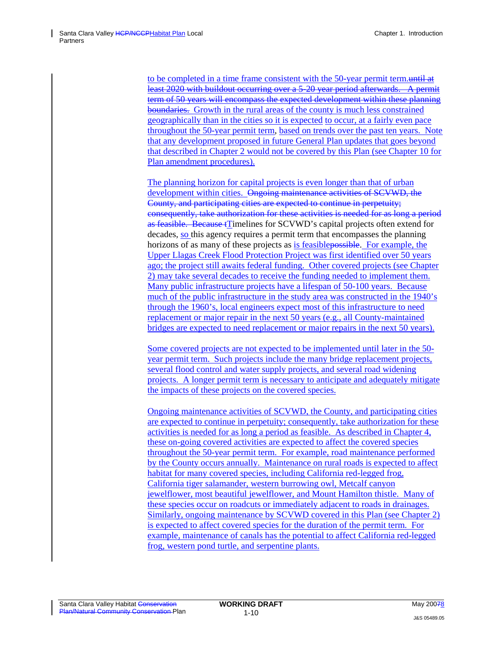to be completed in a time frame consistent with the 50-year permit term.until at least 2020 with buildout occurring over a 5-20 year period afterwards. A permit term of 50 years will encompass the expected development within these planning boundaries. Growth in the rural areas of the county is much less constrained geographically than in the cities so it is expected to occur, at a fairly even pace throughout the 50-year permit term, based on trends over the past ten years. Note that any development proposed in future General Plan updates that goes beyond that described in Chapter 2 would not be covered by this Plan (see Chapter 10 for Plan amendment procedures).

The planning horizon for capital projects is even longer than that of urban development within cities. Ongoing maintenance activities of SCVWD, the County, and participating cities are expected to continue in perpetuity; consequently, take authorization for these activities is needed for as long a period as feasible. Because tTimelines for SCVWD's capital projects often extend for decades, so this agency requires a permit term that encompasses the planning horizons of as many of these projects as is feasible possible. For example, the Upper Llagas Creek Flood Protection Project was first identified over 50 years ago; the project still awaits federal funding. Other covered projects (see Chapter 2) may take several decades to receive the funding needed to implement them. Many public infrastructure projects have a lifespan of 50-100 years. Because much of the public infrastructure in the study area was constructed in the 1940's through the 1960's, local engineers expect most of this infrastructure to need replacement or major repair in the next 50 years (e.g., all County-maintained bridges are expected to need replacement or major repairs in the next 50 years).

Some covered projects are not expected to be implemented until later in the 50 year permit term. Such projects include the many bridge replacement projects, several flood control and water supply projects, and several road widening projects. A longer permit term is necessary to anticipate and adequately mitigate the impacts of these projects on the covered species.

Ongoing maintenance activities of SCVWD, the County, and participating cities are expected to continue in perpetuity; consequently, take authorization for these activities is needed for as long a period as feasible. As described in Chapter 4, these on-going covered activities are expected to affect the covered species throughout the 50-year permit term. For example, road maintenance performed by the County occurs annually. Maintenance on rural roads is expected to affect habitat for many covered species, including California red-legged frog, California tiger salamander, western burrowing owl, Metcalf canyon jewelflower, most beautiful jewelflower, and Mount Hamilton thistle. Many of these species occur on roadcuts or immediately adjacent to roads in drainages. Similarly, ongoing maintenance by SCVWD covered in this Plan (see Chapter 2) is expected to affect covered species for the duration of the permit term. For example, maintenance of canals has the potential to affect California red-legged frog, western pond turtle, and serpentine plants.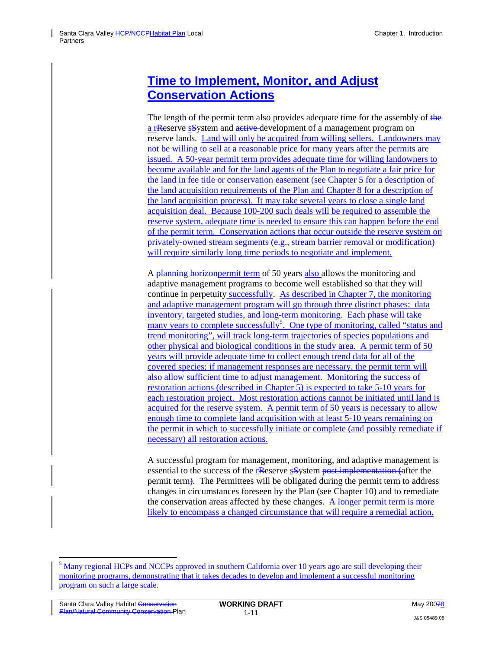## **Time to Implement, Monitor, and Adjust Conservation Actions**

The length of the permit term also provides adequate time for the assembly of the a rReserve sSystem and active development of a management program on reserve lands. Land will only be acquired from willing sellers. Landowners may not be willing to sell at a reasonable price for many years after the permits are issued. A 50-year permit term provides adequate time for willing landowners to become available and for the land agents of the Plan to negotiate a fair price for the land in fee title or conservation easement (see Chapter 5 for a description of the land acquisition requirements of the Plan and Chapter 8 for a description of the land acquisition process). It may take several years to close a single land acquisition deal. Because 100-200 such deals will be required to assemble the reserve system, adequate time is needed to ensure this can happen before the end of the permit term. Conservation actions that occur outside the reserve system on privately-owned stream segments (e.g., stream barrier removal or modification) will require similarly long time periods to negotiate and implement.

A planning horizonpermit term of 50 years also allows the monitoring and adaptive management programs to become well established so that they will continue in perpetuity successfully. As described in Chapter 7, the monitoring and adaptive management program will go through three distinct phases: data inventory, targeted studies, and long-term monitoring. Each phase will take many years to complete successfully<sup>5</sup>. One type of monitoring, called "status and trend monitoring", will track long-term trajectories of species populations and other physical and biological conditions in the study area. A permit term of 50 years will provide adequate time to collect enough trend data for all of the covered species; if management responses are necessary, the permit term will also allow sufficient time to adjust management. Monitoring the success of restoration actions (described in Chapter 5) is expected to take 5-10 years for each restoration project. Most restoration actions cannot be initiated until land is acquired for the reserve system. A permit term of 50 years is necessary to allow enough time to complete land acquisition with at least 5-10 years remaining on the permit in which to successfully initiate or complete (and possibly remediate if necessary) all restoration actions.

A successful program for management, monitoring, and adaptive management is essential to the success of the rReserve s<sub>S</sub>ystem post implementation (after the permit term). The Permittees will be obligated during the permit term to address changes in circumstances foreseen by the Plan (see Chapter 10) and to remediate the conservation areas affected by these changes. A longer permit term is more likely to encompass a changed circumstance that will require a remedial action.

l

<sup>&</sup>lt;sup>5</sup> Many regional HCPs and NCCPs approved in southern California over 10 years ago are still developing their monitoring programs, demonstrating that it takes decades to develop and implement a successful monitoring program on such a large scale.